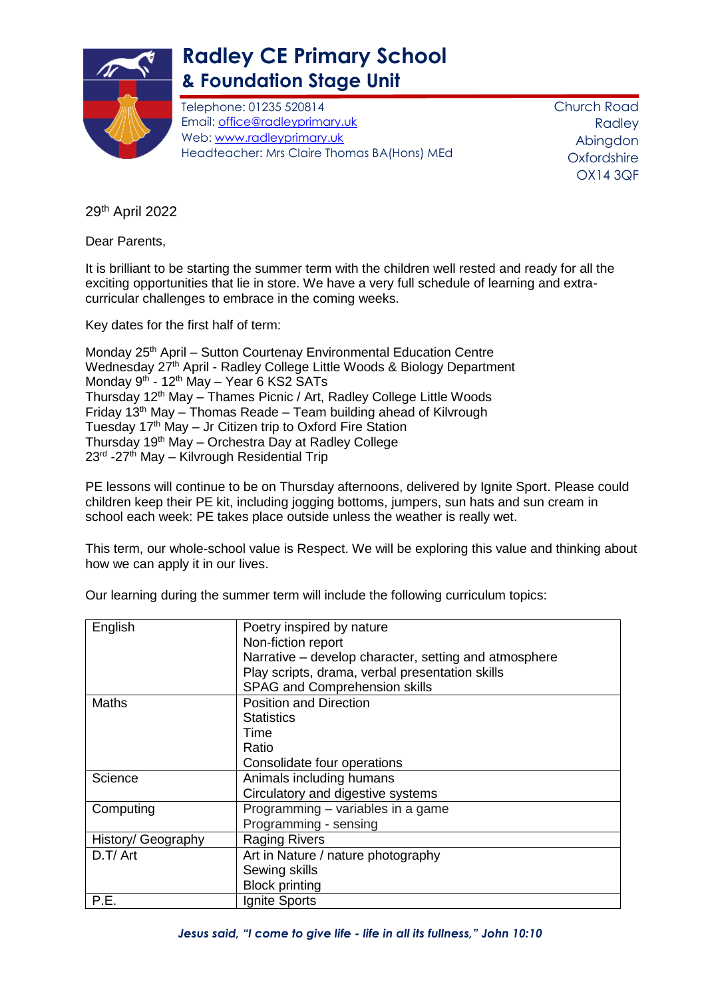

## **Radley CE Primary School & Foundation Stage Unit**

Telephone: 01235 520814 Email: [office@radleyprimary.uk](mailto:office@radleyprimary.uk) Web: [www.radleyprimary.uk](http://www.radleyprimary.uk/) Headteacher: Mrs Claire Thomas BA(Hons) MEd Church Road Radley Abingdon **Oxfordshire** OX14 3QF

29th April 2022

Dear Parents,

It is brilliant to be starting the summer term with the children well rested and ready for all the exciting opportunities that lie in store. We have a very full schedule of learning and extracurricular challenges to embrace in the coming weeks.

Key dates for the first half of term:

Monday 25<sup>th</sup> April – Sutton Courtenay Environmental Education Centre Wednesday 27<sup>th</sup> April - Radley College Little Woods & Biology Department Monday 9<sup>th</sup> - 12<sup>th</sup> May – Year 6 KS2 SATs Thursday 12<sup>th</sup> May – Thames Picnic / Art, Radley College Little Woods Friday 13<sup>th</sup> May – Thomas Reade – Team building ahead of Kilvrough Tuesday  $17<sup>th</sup>$  May – Jr Citizen trip to Oxford Fire Station Thursday 19th May – Orchestra Day at Radley College 23<sup>rd</sup> -27<sup>th</sup> May – Kilvrough Residential Trip

PE lessons will continue to be on Thursday afternoons, delivered by Ignite Sport. Please could children keep their PE kit, including jogging bottoms, jumpers, sun hats and sun cream in school each week: PE takes place outside unless the weather is really wet.

This term, our whole-school value is Respect. We will be exploring this value and thinking about how we can apply it in our lives.

| English            | Poetry inspired by nature                             |
|--------------------|-------------------------------------------------------|
|                    | Non-fiction report                                    |
|                    | Narrative - develop character, setting and atmosphere |
|                    | Play scripts, drama, verbal presentation skills       |
|                    | SPAG and Comprehension skills                         |
| Maths              | <b>Position and Direction</b>                         |
|                    | <b>Statistics</b>                                     |
|                    | Time                                                  |
|                    | Ratio                                                 |
|                    | Consolidate four operations                           |
| Science            | Animals including humans                              |
|                    | Circulatory and digestive systems                     |
| Computing          | Programming - variables in a game                     |
|                    | Programming - sensing                                 |
| History/ Geography | <b>Raging Rivers</b>                                  |
| D.T/Art            | Art in Nature / nature photography                    |
|                    | Sewing skills                                         |
|                    | <b>Block printing</b>                                 |
| P.E.               | Ignite Sports                                         |

Our learning during the summer term will include the following curriculum topics: